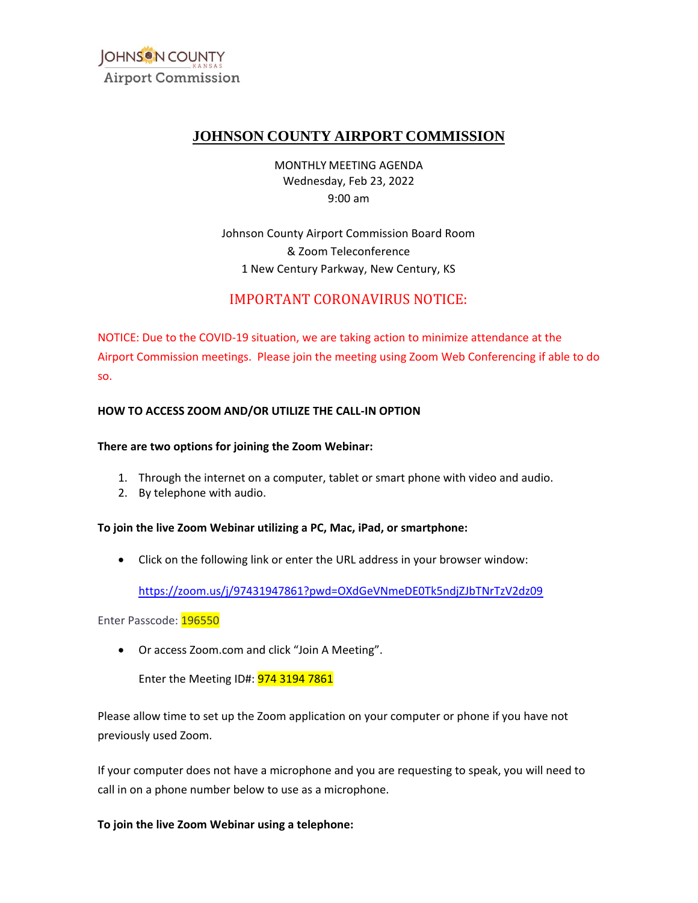

# **JOHNSON COUNTY AIRPORT COMMISSION**

MONTHLY MEETING AGENDA Wednesday, Feb 23, 2022 9:00 am

 Johnson County Airport Commission Board Room & Zoom Teleconference 1 New Century Parkway, New Century, KS

# IMPORTANT CORONAVIRUS NOTICE:

NOTICE: Due to the COVID-19 situation, we are taking action to minimize attendance at the Airport Commission meetings. Please join the meeting using Zoom Web Conferencing if able to do so.

#### **HOW TO ACCESS ZOOM AND/OR UTILIZE THE CALL-IN OPTION**

#### **There are two options for joining the Zoom Webinar:**

- 1. Through the internet on a computer, tablet or smart phone with video and audio.
- 2. By telephone with audio.

#### **To join the live Zoom Webinar utilizing a PC, Mac, iPad, or smartphone:**

• Click on the following link or enter the URL address in your browser window:

https://zoom.us/j/97431947861?pwd=OXdGeVNmeDE0Tk5ndjZJbTNrTzV2dz09<br>isscode: <mark>196550</mark><br>Or access Zoom.com and click "Join A Meeting".

Enter Passcode: 196550

• Or access [Zoom.com](https://Zoom.com) and click "Join A Meeting".

Enter the Meeting ID#: 974 3194 7861

Please allow time to set up the Zoom application on your computer or phone if you have not previously used Zoom.

If your computer does not have a microphone and you are requesting to speak, you will need to call in on a phone number below to use as a microphone.

**To join the live Zoom Webinar using a telephone:**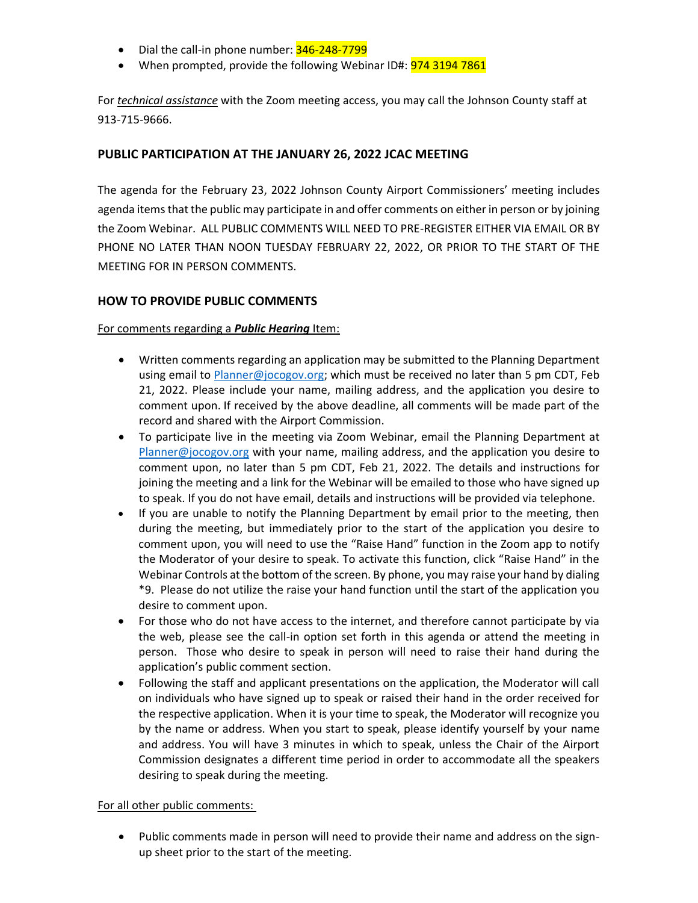- Dial the call-in phone number: 346-248-7799
- When prompted, provide the following Webinar ID#: 974 3194 7861

For *technical assistance* with the Zoom meeting access, you may call the Johnson County staff at 913-715-9666.

## **PUBLIC PARTICIPATION AT THE JANUARY 26, 2022 JCAC MEETING**

 the Zoom Webinar. ALL PUBLIC COMMENTS WILL NEED TO PRE-REGISTER EITHER VIA EMAIL OR BY PHONE NO LATER THAN NOON TUESDAY FEBRUARY 22, 2022, OR PRIOR TO THE START OF THE The agenda for the February 23, 2022 Johnson County Airport Commissioners' meeting includes agenda items that the public may participate in and offer comments on either in person or by joining MEETING FOR IN PERSON COMMENTS.

## **HOW TO PROVIDE PUBLIC COMMENTS**

#### For comments regarding a *Public Hearing* Item:

- using email to *Planner@jocogov.org;* which must be received no later than 5 pm CDT, Feb • Written comments regarding an application may be submitted to the Planning Department 21, 2022. Please include your name, mailing address, and the application you desire to comment upon. If received by the above deadline, all comments will be made part of the record and shared with the Airport Commission.
- • To participate live in the meeting via Zoom Webinar, email the Planning Department at joining the meeting and a link for the Webinar will be emailed to those who have signed up [Planner@jocogov.org](mailto:Planner@jocogov.org) with your name, mailing address, and the application you desire to comment upon, no later than 5 pm CDT, Feb 21, 2022. The details and instructions for to speak. If you do not have email, details and instructions will be provided via telephone.
- • If you are unable to notify the Planning Department by email prior to the meeting, then during the meeting, but immediately prior to the start of the application you desire to the Moderator of your desire to speak. To activate this function, click "Raise Hand" in the Webinar Controls at the bottom of the screen. By phone, you may raise your hand by dialing comment upon, you will need to use the "Raise Hand" function in the Zoom app to notify \*9. Please do not utilize the raise your hand function until the start of the application you desire to comment upon.
- • For those who do not have access to the internet, and therefore cannot participate by via the web, please see the call-in option set forth in this agenda or attend the meeting in person. Those who desire to speak in person will need to raise their hand during the application's public comment section.
- • Following the staff and applicant presentations on the application, the Moderator will call on individuals who have signed up to speak or raised their hand in the order received for the respective application. When it is your time to speak, the Moderator will recognize you and address. You will have 3 minutes in which to speak, unless the Chair of the Airport Commission designates a different time period in order to accommodate all the speakers by the name or address. When you start to speak, please identify yourself by your name desiring to speak during the meeting.

#### For all other public comments:

• Public comments made in person will need to provide their name and address on the signup sheet prior to the start of the meeting.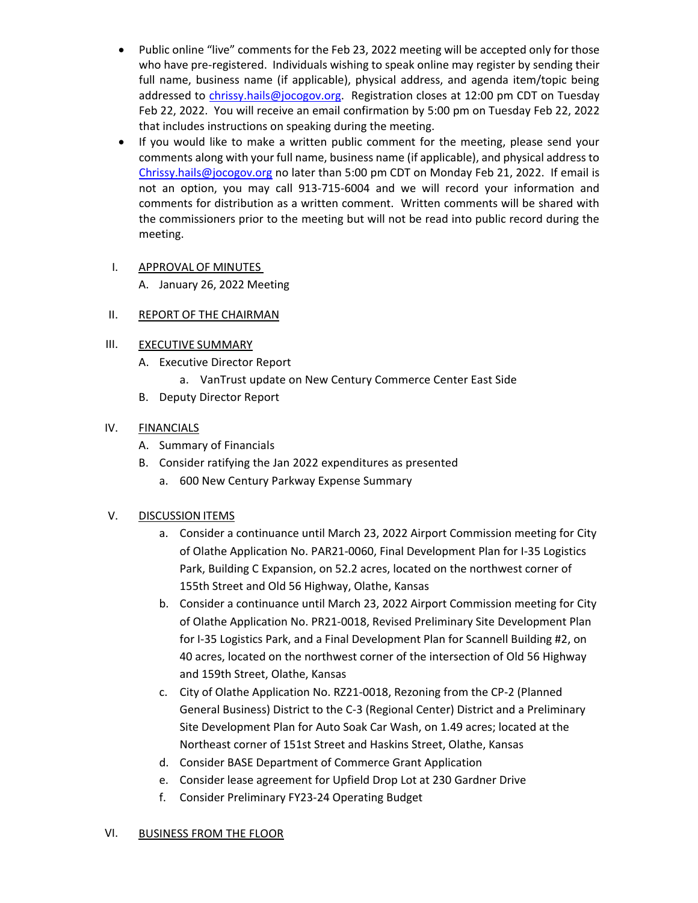- • Public online "live" comments for the Feb 23, 2022 meeting will be accepted only for those full name, business name (if applicable), physical address, and agenda item/topic being Feb 22, 2022. You will receive an email confirmation by 5:00 pm on Tuesday Feb 22, 2022 who have pre-registered. Individuals wishing to speak online may register by sending their addressed to [chrissy.hails@jocogov.org.](mailto:chrissy.hails@jocogov.org) Registration closes at 12:00 pm CDT on Tuesday that includes instructions on speaking during the meeting.
- • If you would like to make a written public comment for the meeting, please send your comments along with your full name, business name (if applicable), and physical address to [Chrissy.hails@jocogov.org](mailto:Chrissy.hails@jocogov.org) no later than 5:00 pm CDT on Monday Feb 21, 2022. If email is not an option, you may call 913-715-6004 and we will record your information and comments for distribution as a written comment. Written comments will be shared with the commissioners prior to the meeting but will not be read into public record during the meeting.

#### I. APPROVAL OF MINUTES

A. January 26, 2022 Meeting

#### II. REPORT OF THE CHAIRMAN

#### III. EXECUTIVE SUMMARY

- A. Executive Director Report
	- a. VanTrust update on New Century Commerce Center East Side
- B. Deputy Director Report

#### IV. FINANCIALS

- A. Summary of Financials
- B. Consider ratifying the Jan 2022 expenditures as presented
	- a. 600 New Century Parkway Expense Summary

### V. DISCUSSION ITEMS

- a. Consider a continuance until March 23, 2022 Airport Commission meeting for City of Olathe Application No. PAR21-0060, Final Development Plan for I-35 Logistics Park, Building C Expansion, on 52.2 acres, located on the northwest corner of 155th Street and Old 56 Highway, Olathe, Kansas
- b. Consider a continuance until March 23, 2022 Airport Commission meeting for City of Olathe Application No. PR21-0018, Revised Preliminary Site Development Plan for I-35 Logistics Park, and a Final Development Plan for Scannell Building #2, on 40 acres, located on the northwest corner of the intersection of Old 56 Highway and 159th Street, Olathe, Kansas
- c. City of Olathe Application No. RZ21-0018, Rezoning from the CP-2 (Planned General Business) District to the C-3 (Regional Center) District and a Preliminary Site Development Plan for Auto Soak Car Wash, on 1.49 acres; located at the Northeast corner of 151st Street and Haskins Street, Olathe, Kansas
- d. Consider BASE Department of Commerce Grant Application
- e. Consider lease agreement for Upfield Drop Lot at 230 Gardner Drive
- f. Consider Preliminary FY23-24 Operating Budget

## VI. BUSINESS FROM THE FLOOR